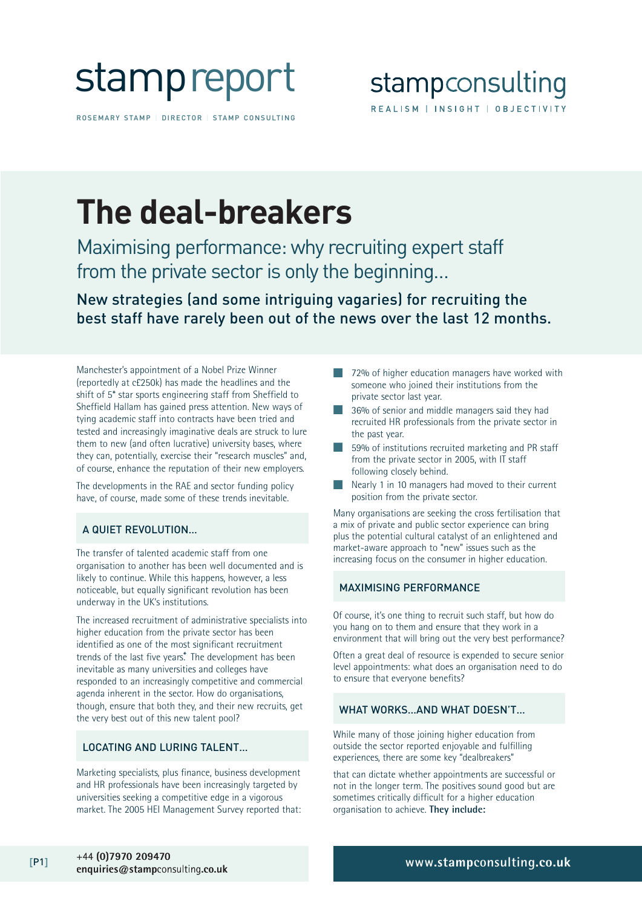

ROSEMARY STAMP | DIRECTOR | STAMP CONSULTING

## **The deal-breakers**

Maximising performance: why recruiting expert staff from the private sector is only the beginning…

New strategies (and some intriguing vagaries) for recruiting the best staff have rarely been out of the news over the last 12 months.

Manchester's appointment of a Nobel Prize Winner (reportedly at c£250k) has made the headlines and the shift of 5\* star sports engineering staff from Sheffield to Sheffield Hallam has gained press attention. New ways of tying academic staff into contracts have been tried and tested and increasingly imaginative deals are struck to lure them to new (and often lucrative) university bases, where they can, potentially, exercise their "research muscles" and, of course, enhance the reputation of their new employers.

The developments in the RAE and sector funding policy have, of course, made some of these trends inevitable.

### A QUIET REVOLUTION…

The transfer of talented academic staff from one organisation to another has been well documented and is likely to continue. While this happens, however, a less noticeable, but equally significant revolution has been underway in the UK's institutions.

The increased recruitment of administrative specialists into higher education from the private sector has been identified as one of the most significant recruitment trends of the last five years.<sup>\*</sup> The development has been inevitable as many universities and colleges have responded to an increasingly competitive and commercial agenda inherent in the sector. How do organisations, though, ensure that both they, and their new recruits, get the very best out of this new talent pool?

#### LOCATING AND LURING TALENT…

Marketing specialists, plus finance, business development and HR professionals have been increasingly targeted by universities seeking a competitive edge in a vigorous market. The 2005 HEI Management Survey reported that:

- 72% of higher education managers have worked with someone who joined their institutions from the private sector last year.
- 36% of senior and middle managers said they had recruited HR professionals from the private sector in the past year.
- 59% of institutions recruited marketing and PR staff from the private sector in 2005, with IT staff following closely behind.
- Nearly 1 in 10 managers had moved to their current position from the private sector.

Many organisations are seeking the cross fertilisation that a mix of private and public sector experience can bring plus the potential cultural catalyst of an enlightened and market-aware approach to "new" issues such as the increasing focus on the consumer in higher education.

#### MAXIMISING PERFORMANCE

Of course, it's one thing to recruit such staff, but how do you hang on to them and ensure that they work in a environment that will bring out the very best performance?

Often a great deal of resource is expended to secure senior level appointments: what does an organisation need to do to ensure that everyone benefits?

#### WHAT WORKS…AND WHAT DOESN'T…

While many of those joining higher education from outside the sector reported enjoyable and fulfilling experiences, there are some key "dealbreakers"

that can dictate whether appointments are successful or not in the longer term. The positives sound good but are sometimes critically difficult for a higher education organisation to achieve. **They include:**